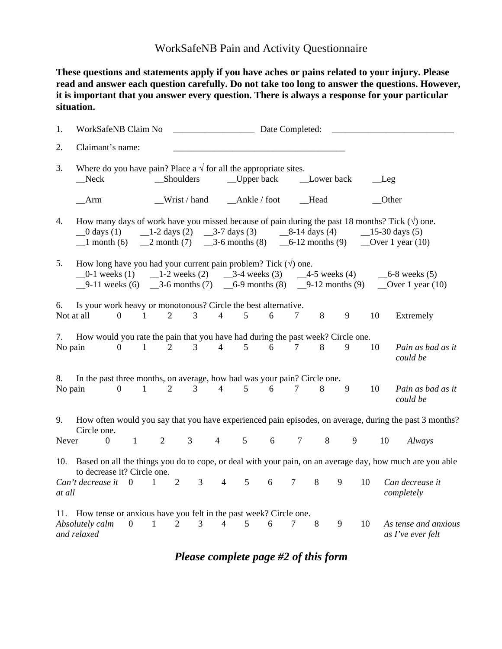## WorkSafeNB Pain and Activity Questionnaire

**These questions and statements apply if you have aches or pains related to your injury. Please read and answer each question carefully. Do not take too long to answer the questions. However, it is important that you answer every question. There is always a response for your particular situation.** 

| 1.               | WorkSafeNB Claim No                                                                                                                                                                                                           |                |                                                                                                                                                                                                                                                                           |                |                |                | Date Completed:    |   |                   |             |   |             |                                                                                                                  |
|------------------|-------------------------------------------------------------------------------------------------------------------------------------------------------------------------------------------------------------------------------|----------------|---------------------------------------------------------------------------------------------------------------------------------------------------------------------------------------------------------------------------------------------------------------------------|----------------|----------------|----------------|--------------------|---|-------------------|-------------|---|-------------|------------------------------------------------------------------------------------------------------------------|
| 2.               | Claimant's name:                                                                                                                                                                                                              |                |                                                                                                                                                                                                                                                                           |                |                |                |                    |   |                   |             |   |             |                                                                                                                  |
| 3.               | Where do you have pain? Place a $\sqrt{ }$ for all the appropriate sites.<br>_Shoulders<br>$\mathbb{C}$ Neck                                                                                                                  |                |                                                                                                                                                                                                                                                                           |                |                |                | $\Box$ Upper back  |   |                   | _Lower back |   | $\_\$ {Leg} |                                                                                                                  |
|                  | Arm                                                                                                                                                                                                                           |                |                                                                                                                                                                                                                                                                           |                | Wrist / hand   |                | $\_\$ Ankle / foot |   |                   | _Head       |   |             | Other                                                                                                            |
| 4.               | $\_\_0$ days (1)                                                                                                                                                                                                              |                | How many days of work have you missed because of pain during the past 18 months? Tick $(\forall)$ one.<br>$\angle$ 1-2 days (2) $\angle$ 3-7 days (3) $\angle$ 8-14 days (4)<br>$-1$ month (6) $-2$ month (7) $-3$ -6 months (8) $-6$ -12 months (9) $-$ Over 1 year (10) |                |                |                |                    |   | $-15-30$ days (5) |             |   |             |                                                                                                                  |
| 5.               | How long have you had your current pain problem? Tick $(\forall)$ one.<br>$-0$ -1 weeks (1) $-1$ -2 weeks (2) $-3$ -4 weeks (3) $-4$ -5 weeks (4)<br>$-9-11$ weeks (6) $-3-6$ months (7) $-6-9$ months (8) $-9-12$ months (9) |                |                                                                                                                                                                                                                                                                           |                |                |                |                    |   |                   |             |   |             | $-6-8$ weeks $(5)$<br>Over 1 year $(10)$                                                                         |
| 6.<br>Not at all | Is your work heavy or monotonous? Circle the best alternative.                                                                                                                                                                | $\Omega$       | $\mathbf{1}$                                                                                                                                                                                                                                                              | $\overline{2}$ | $\overline{3}$ | $\overline{4}$ | 5                  | 6 | 7                 | 8           | 9 | 10          | Extremely                                                                                                        |
| 7.<br>No pain    | How would you rate the pain that you have had during the past week? Circle one.                                                                                                                                               | $\overline{0}$ | $\mathbf{1}$                                                                                                                                                                                                                                                              | $\overline{2}$ | $\mathfrak{Z}$ | $\overline{4}$ | 5                  | 6 | $\tau$            | 8           | 9 | 10          | Pain as bad as it<br>could be                                                                                    |
| 8.<br>No pain    | In the past three months, on average, how bad was your pain? Circle one.                                                                                                                                                      | $\overline{0}$ | $\mathbf{1}$                                                                                                                                                                                                                                                              | 2              | 3              | $\overline{4}$ | $5\overline{)}$    | 6 | $\tau$            | 8           | 9 | 10          | Pain as bad as it<br>could be                                                                                    |
| 9.<br>Never      | Circle one.<br>$\overline{0}$                                                                                                                                                                                                 | $\mathbf{1}$   |                                                                                                                                                                                                                                                                           | $\overline{2}$ | 3              | $\overline{4}$ | 5                  | 6 | $\tau$            | 8           | 9 | 10          | How often would you say that you have experienced pain episodes, on average, during the past 3 months?<br>Always |
|                  |                                                                                                                                                                                                                               |                |                                                                                                                                                                                                                                                                           |                |                |                |                    |   |                   |             |   |             | 10. Based on all the things you do to cope, or deal with your pain, on an average day, how much are you able     |
| at all           | to decrease it? Circle one.<br>Can't decrease it 0                                                                                                                                                                            |                | $\overline{1}$                                                                                                                                                                                                                                                            | $\overline{2}$ | $\overline{3}$ | $\overline{4}$ | 5 <sup>5</sup>     | 6 | $\overline{7}$    | 8           | 9 | 10          | Can decrease it<br>completely                                                                                    |
|                  | 11. How tense or anxious have you felt in the past week? Circle one.<br>Absolutely calm<br>and relaxed                                                                                                                        | $\overline{0}$ | $\mathbf{1}$                                                                                                                                                                                                                                                              | $\overline{2}$ | $\overline{3}$ | $\overline{4}$ | 5                  | 6 | $\tau$            | 8           | 9 | 10          | As tense and anxious<br>as I've ever felt                                                                        |

*Please complete page #2 of this form*